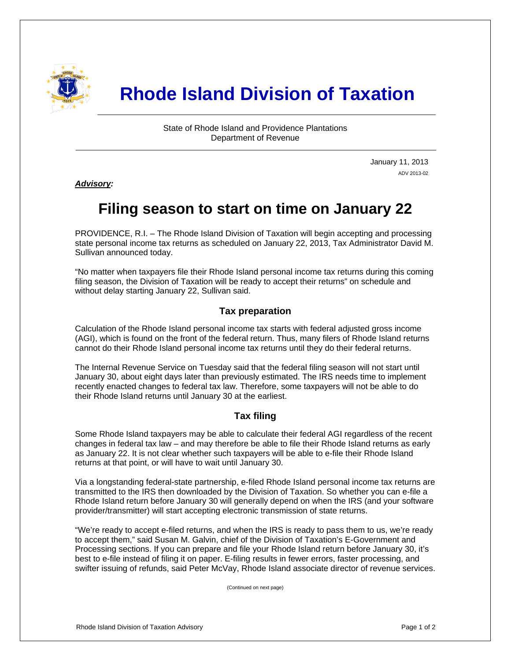

# **Rhode Island Division of Taxation**

State of Rhode Island and Providence Plantations Department of Revenue

> January 11, 2013 ADV 2013-02

*Advisory:* 

i

# **Filing season to start on time on January 22**

PROVIDENCE, R.I. – The Rhode Island Division of Taxation will begin accepting and processing state personal income tax returns as scheduled on January 22, 2013, Tax Administrator David M. Sullivan announced today.

"No matter when taxpayers file their Rhode Island personal income tax returns during this coming filing season, the Division of Taxation will be ready to accept their returns" on schedule and without delay starting January 22, Sullivan said.

## **Tax preparation**

Calculation of the Rhode Island personal income tax starts with federal adjusted gross income (AGI), which is found on the front of the federal return. Thus, many filers of Rhode Island returns cannot do their Rhode Island personal income tax returns until they do their federal returns.

The Internal Revenue Service on Tuesday said that the federal filing season will not start until January 30, about eight days later than previously estimated. The IRS needs time to implement recently enacted changes to federal tax law. Therefore, some taxpayers will not be able to do their Rhode Island returns until January 30 at the earliest.

# **Tax filing**

Some Rhode Island taxpayers may be able to calculate their federal AGI regardless of the recent changes in federal tax law – and may therefore be able to file their Rhode Island returns as early as January 22. It is not clear whether such taxpayers will be able to e-file their Rhode Island returns at that point, or will have to wait until January 30.

Via a longstanding federal-state partnership, e-filed Rhode Island personal income tax returns are transmitted to the IRS then downloaded by the Division of Taxation. So whether you can e-file a Rhode Island return before January 30 will generally depend on when the IRS (and your software provider/transmitter) will start accepting electronic transmission of state returns.

"We're ready to accept e-filed returns, and when the IRS is ready to pass them to us, we're ready to accept them," said Susan M. Galvin, chief of the Division of Taxation's E-Government and Processing sections. If you can prepare and file your Rhode Island return before January 30, it's best to e-file instead of filing it on paper. E-filing results in fewer errors, faster processing, and swifter issuing of refunds, said Peter McVay, Rhode Island associate director of revenue services.

(Continued on next page)